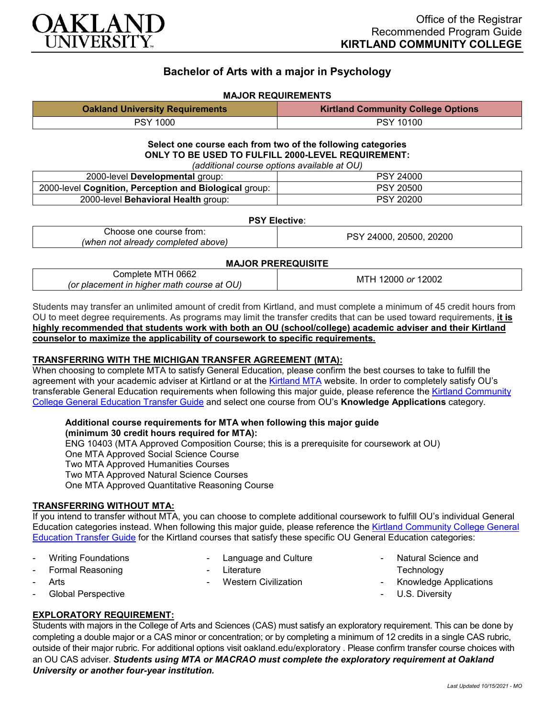

# **Bachelor of Arts with a major in Psychology**

### **MAJOR REQUIREMENTS**

| <b>Oakland University Requirements</b> | <b>Kirtland Community College Options</b> |
|----------------------------------------|-------------------------------------------|
| PSY 1000                               | <b>PSY 10100</b>                          |

#### **Select one course each from two of the following categories ONLY TO BE USED TO FULFILL 2000-LEVEL REQUIREMENT:** *(additional course options available at OU)*

| raggiuonai codi se options avaliable at OOT            |                  |  |
|--------------------------------------------------------|------------------|--|
| 2000-level Developmental group:                        | <b>PSY 24000</b> |  |
| 2000-level Cognition, Perception and Biological group: | <b>PSY 20500</b> |  |
| 2000-level Behavioral Health group:                    | <b>PSY 20200</b> |  |

#### **PSY Elective**:

| Choose one course from:            | 20200<br>20500<br>24000<br>∍פ |
|------------------------------------|-------------------------------|
| (when not already completed above) |                               |

#### **MAJOR PREREQUISITE**

| <br>omr<br>שט∪<br>niete<br><b>IVI</b><br>.<br>course<br>'or<br>at<br>niaci<br>matn<br>"<br>. niane<br>nenr<br>w | 2002<br>or<br>-M ' |
|-----------------------------------------------------------------------------------------------------------------|--------------------|
|                                                                                                                 |                    |

Students may transfer an unlimited amount of credit from Kirtland, and must complete a minimum of 45 credit hours from OU to meet degree requirements. As programs may limit the transfer credits that can be used toward requirements, **it is highly recommended that students work with both an OU (school/college) academic adviser and their Kirtland counselor to maximize the applicability of coursework to specific requirements.**

### **TRANSFERRING WITH THE MICHIGAN TRANSFER AGREEMENT (MTA):**

When choosing to complete MTA to satisfy General Education, please confirm the best courses to take to fulfill the agreement with your academic adviser at Kirtland or at the [Kirtland MTA](https://www.kirtland.edu/wp-content/uploads/michigan-transfer-agreement/MTA-Approved-Courses.pdf) website. In order to completely satisfy OU's transferable General Education requirements when following this major guide, please reference the Kirtland Community [College General Education Transfer Guide](https://www.oakland.edu/Assets/Oakland/program-guides/kirtland-community-college/university-general-education-requirements/Kirtland%20Gen%20Ed.pdf) and select one course from OU's **Knowledge Applications** category.

#### **Additional course requirements for MTA when following this major guide (minimum 30 credit hours required for MTA):**

ENG 10403 (MTA Approved Composition Course; this is a prerequisite for coursework at OU) One MTA Approved Social Science Course Two MTA Approved Humanities Courses Two MTA Approved Natural Science Courses One MTA Approved Quantitative Reasoning Course

### **TRANSFERRING WITHOUT MTA:**

If you intend to transfer without MTA, you can choose to complete additional coursework to fulfill OU's individual General Education categories instead. When following this major guide, please reference the [Kirtland Community College General](https://www.oakland.edu/Assets/Oakland/program-guides/kirtland-community-college/university-general-education-requirements/Kirtland%20Gen%20Ed.pdf)  [Education Transfer Guide](https://www.oakland.edu/Assets/Oakland/program-guides/kirtland-community-college/university-general-education-requirements/Kirtland%20Gen%20Ed.pdf) for the Kirtland courses that satisfy these specific OU General Education categories:

Writing Foundations - Formal Reasoning

Language and Culture

- Western Civilization

**Arts** 

- **Literature**
- 
- Global Perspective

## **EXPLORATORY REQUIREMENT:**

Students with majors in the College of Arts and Sciences (CAS) must satisfy an exploratory requirement. This can be done by completing a double major or a CAS minor or concentration; or by completing a minimum of 12 credits in a single CAS rubric, outside of their major rubric. For additional options visit [oakland.edu/exploratory](http://www.oakland.edu/exploratory) . Please confirm transfer course choices with an OU CAS adviser. *Students using MTA or MACRAO must complete the exploratory requirement at Oakland University or another four-year institution.*

- Natural Science and

- Knowledge Applications

**Technology** 

U.S. Diversity